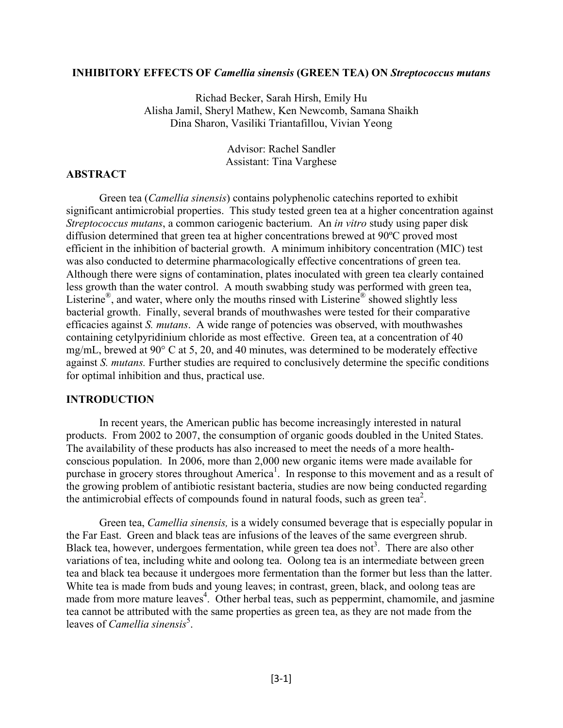#### **INHIBITORY EFFECTS OF** *Camellia sinensis* **(GREEN TEA) ON** *Streptococcus mutans*

Richad Becker, Sarah Hirsh, Emily Hu Alisha Jamil, Sheryl Mathew, Ken Newcomb, Samana Shaikh Dina Sharon, Vasiliki Triantafillou, Vivian Yeong

> Advisor: Rachel Sandler Assistant: Tina Varghese

## **ABSTRACT**

Green tea (*Camellia sinensis*) contains polyphenolic catechins reported to exhibit significant antimicrobial properties. This study tested green tea at a higher concentration against *Streptococcus mutans*, a common cariogenic bacterium. An *in vitro* study using paper disk diffusion determined that green tea at higher concentrations brewed at 90ºC proved most efficient in the inhibition of bacterial growth. A minimum inhibitory concentration (MIC) test was also conducted to determine pharmacologically effective concentrations of green tea. Although there were signs of contamination, plates inoculated with green tea clearly contained less growth than the water control. A mouth swabbing study was performed with green tea, Listerine®, and water, where only the mouths rinsed with Listerine® showed slightly less bacterial growth. Finally, several brands of mouthwashes were tested for their comparative efficacies against *S. mutans*. A wide range of potencies was observed, with mouthwashes containing cetylpyridinium chloride as most effective. Green tea, at a concentration of 40 mg/mL, brewed at 90° C at 5, 20, and 40 minutes, was determined to be moderately effective against *S. mutans.* Further studies are required to conclusively determine the specific conditions for optimal inhibition and thus, practical use.

#### **INTRODUCTION**

In recent years, the American public has become increasingly interested in natural products. From 2002 to 2007, the consumption of organic goods doubled in the United States. The availability of these products has also increased to meet the needs of a more healthconscious population. In 2006, more than 2,000 new organic items were made available for purchase in grocery stores throughout America<sup>1</sup>. In response to this movement and as a result of the growing problem of antibiotic resistant bacteria, studies are now being conducted regarding the antimicrobial effects of compounds found in natural foods, such as green tea<sup>2</sup>.

 Green tea, *Camellia sinensis,* is a widely consumed beverage that is especially popular in the Far East. Green and black teas are infusions of the leaves of the same evergreen shrub. Black tea, however, undergoes fermentation, while green tea does not<sup>3</sup>. There are also other variations of tea, including white and oolong tea. Oolong tea is an intermediate between green tea and black tea because it undergoes more fermentation than the former but less than the latter. White tea is made from buds and young leaves; in contrast, green, black, and oolong teas are made from more mature leaves<sup>4</sup>. Other herbal teas, such as peppermint, chamomile, and jasmine tea cannot be attributed with the same properties as green tea, as they are not made from the leaves of *Camellia sinensis*<sup>5</sup>.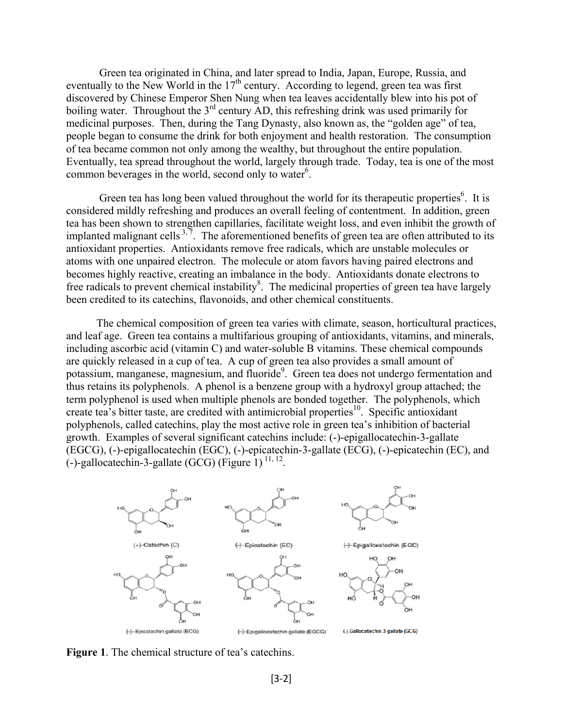Green tea originated in China, and later spread to India, Japan, Europe, Russia, and eventually to the New World in the  $17<sup>th</sup>$  century. According to legend, green tea was first discovered by Chinese Emperor Shen Nung when tea leaves accidentally blew into his pot of boiling water. Throughout the 3<sup>rd</sup> century AD, this refreshing drink was used primarily for medicinal purposes. Then, during the Tang Dynasty, also known as, the "golden age" of tea, people began to consume the drink for both enjoyment and health restoration. The consumption of tea became common not only among the wealthy, but throughout the entire population. Eventually, tea spread throughout the world, largely through trade. Today, tea is one of the most common beverages in the world, second only to water $6$ .

Green tea has long been valued throughout the world for its therapeutic properties<sup>6</sup>. It is considered mildly refreshing and produces an overall feeling of contentment. In addition, green tea has been shown to strengthen capillaries, facilitate weight loss, and even inhibit the growth of implanted malignant cells<sup>3,7</sup>. The aforementioned benefits of green tea are often attributed to its antioxidant properties. Antioxidants remove free radicals, which are unstable molecules or atoms with one unpaired electron. The molecule or atom favors having paired electrons and becomes highly reactive, creating an imbalance in the body. Antioxidants donate electrons to free radicals to prevent chemical instability<sup>8</sup>. The medicinal properties of green tea have largely been credited to its catechins, flavonoids, and other chemical constituents.

 The chemical composition of green tea varies with climate, season, horticultural practices, and leaf age. Green tea contains a multifarious grouping of antioxidants, vitamins, and minerals, including ascorbic acid (vitamin C) and water-soluble B vitamins. These chemical compounds are quickly released in a cup of tea. A cup of green tea also provides a small amount of potassium, manganese, magnesium, and fluoride<sup>9</sup>. Green tea does not undergo fermentation and thus retains its polyphenols. A phenol is a benzene group with a hydroxyl group attached; the term polyphenol is used when multiple phenols are bonded together. The polyphenols, which create tea's bitter taste, are credited with antimicrobial properties<sup>10</sup>. Specific antioxidant polyphenols, called catechins, play the most active role in green tea's inhibition of bacterial growth. Examples of several significant catechins include: (-)-epigallocatechin-3-gallate (EGCG), (-)-epigallocatechin (EGC), (-)-epicatechin-3-gallate (ECG), (-)-epicatechin (EC), and (-)-gallocatechin-3-gallate (GCG) (Figure 1)  $^{11, 12}$ .



**Figure 1**. The chemical structure of tea's catechins.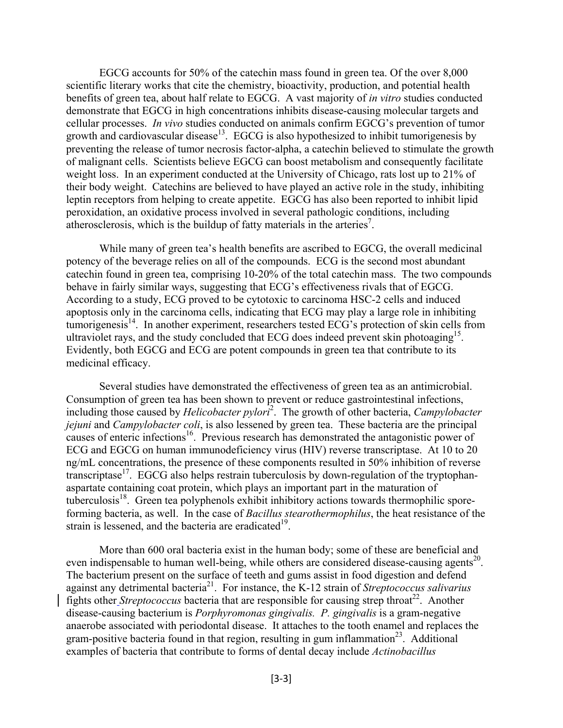EGCG accounts for 50% of the catechin mass found in green tea. Of the over 8,000 scientific literary works that cite the chemistry, bioactivity, production, and potential health benefits of green tea, about half relate to EGCG. A vast majority of *in vitro* studies conducted demonstrate that EGCG in high concentrations inhibits disease-causing molecular targets and cellular processes. *In vivo* studies conducted on animals confirm EGCG's prevention of tumor growth and cardiovascular disease<sup>13</sup>. EGCG is also hypothesized to inhibit tumorigenesis by preventing the release of tumor necrosis factor-alpha, a catechin believed to stimulate the growth of malignant cells. Scientists believe EGCG can boost metabolism and consequently facilitate weight loss. In an experiment conducted at the University of Chicago, rats lost up to 21% of their body weight. Catechins are believed to have played an active role in the study, inhibiting leptin receptors from helping to create appetite. EGCG has also been reported to inhibit lipid peroxidation, an oxidative process involved in several pathologic conditions, including atherosclerosis, which is the buildup of fatty materials in the arteries<sup>7</sup>.

 While many of green tea's health benefits are ascribed to EGCG, the overall medicinal potency of the beverage relies on all of the compounds. ECG is the second most abundant catechin found in green tea, comprising 10-20% of the total catechin mass. The two compounds behave in fairly similar ways, suggesting that ECG's effectiveness rivals that of EGCG. According to a study, ECG proved to be cytotoxic to carcinoma HSC-2 cells and induced apoptosis only in the carcinoma cells, indicating that ECG may play a large role in inhibiting tumorigenesis<sup>14</sup>. In another experiment, researchers tested ECG's protection of skin cells from ultraviolet rays, and the study concluded that ECG does indeed prevent skin photoaging<sup>15</sup>. Evidently, both EGCG and ECG are potent compounds in green tea that contribute to its medicinal efficacy.

Several studies have demonstrated the effectiveness of green tea as an antimicrobial. Consumption of green tea has been shown to prevent or reduce gastrointestinal infections, including those caused by *Helicobacter pylori*<sup>2</sup> . The growth of other bacteria, *Campylobacter jejuni* and *Campylobacter coli*, is also lessened by green tea. These bacteria are the principal causes of enteric infections<sup>16</sup>. Previous research has demonstrated the antagonistic power of ECG and EGCG on human immunodeficiency virus (HIV) reverse transcriptase. At 10 to 20 ng/mL concentrations, the presence of these components resulted in 50% inhibition of reverse transcriptase<sup>17</sup>. EGCG also helps restrain tuberculosis by down-regulation of the tryptophanaspartate containing coat protein, which plays an important part in the maturation of tuberculosis<sup>18</sup>. Green tea polyphenols exhibit inhibitory actions towards thermophilic sporeforming bacteria, as well. In the case of *Bacillus stearothermophilus*, the heat resistance of the strain is lessened, and the bacteria are eradicated $19$ .

 More than 600 oral bacteria exist in the human body; some of these are beneficial and even indispensable to human well-being, while others are considered disease-causing agents<sup>20</sup>. The bacterium present on the surface of teeth and gums assist in food digestion and defend against any detrimental bacteria21. For instance, the K-12 strain of *Streptococcus salivarius* fights other *Streptococcus* bacteria that are responsible for causing strep throat<sup>22</sup>. Another disease-causing bacterium is *Porphyromonas gingivalis. P. gingivalis* is a gram-negative anaerobe associated with periodontal disease. It attaches to the tooth enamel and replaces the gram-positive bacteria found in that region, resulting in gum inflammation<sup>23</sup>. Additional examples of bacteria that contribute to forms of dental decay include *Actinobacillus*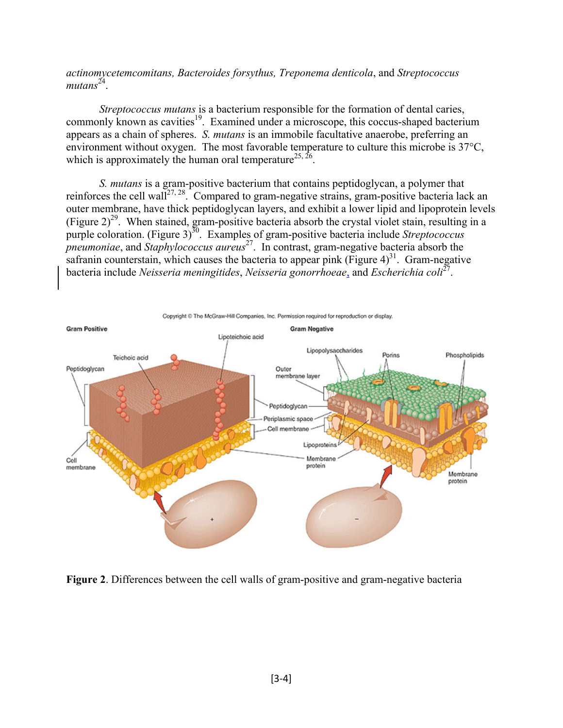*actinomycetemcomitans, Bacteroides forsythus, Treponema denticola*, and *Streptococcus mutans*24.

 *Streptococcus mutans* is a bacterium responsible for the formation of dental caries, commonly known as cavities<sup>19</sup>. Examined under a microscope, this coccus-shaped bacterium appears as a chain of spheres. *S. mutans* is an immobile facultative anaerobe, preferring an environment without oxygen. The most favorable temperature to culture this microbe is 37°C, which is approximately the human oral temperature<sup>25, 26</sup>.

*S. mutans* is a gram-positive bacterium that contains peptidoglycan, a polymer that reinforces the cell wall<sup>27, 28</sup>. Compared to gram-negative strains, gram-positive bacteria lack an outer membrane, have thick peptidoglycan layers, and exhibit a lower lipid and lipoprotein levels (Figure  $2)^{29}$ . When stained, gram-positive bacteria absorb the crystal violet stain, resulting in a purple coloration. (Figure 3)<sup>30</sup>. Examples of gram-positive bacteria include *Streptococcus pneumoniae*, and *Staphylococcus aureus*27. In contrast, gram-negative bacteria absorb the safranin counterstain, which causes the bacteria to appear pink (Figure 4)<sup>31</sup>. Gram-negative bacteria include *Neisseria meningitides*, *Neisseria gonorrhoeae*, and *Escherichia coli*27.



**Figure 2**. Differences between the cell walls of gram-positive and gram-negative bacteria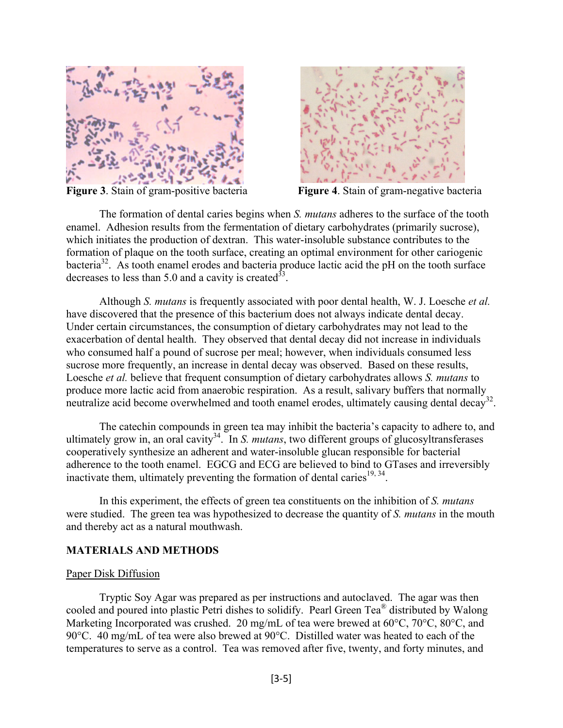



**Figure 3**. Stain of gram-positive bacteria **Figure 4**. Stain of gram-negative bacteria

 The formation of dental caries begins when *S. mutans* adheres to the surface of the tooth enamel. Adhesion results from the fermentation of dietary carbohydrates (primarily sucrose), which initiates the production of dextran. This water-insoluble substance contributes to the formation of plaque on the tooth surface, creating an optimal environment for other cariogenic bacteria<sup>32</sup>. As tooth enamel erodes and bacteria produce lactic acid the pH on the tooth surface decreases to less than 5.0 and a cavity is created  $33$ .

 Although *S. mutans* is frequently associated with poor dental health, W. J. Loesche *et al.*  have discovered that the presence of this bacterium does not always indicate dental decay. Under certain circumstances, the consumption of dietary carbohydrates may not lead to the exacerbation of dental health. They observed that dental decay did not increase in individuals who consumed half a pound of sucrose per meal; however, when individuals consumed less sucrose more frequently, an increase in dental decay was observed. Based on these results, Loesche *et al.* believe that frequent consumption of dietary carbohydrates allows *S. mutans* to produce more lactic acid from anaerobic respiration. As a result, salivary buffers that normally neutralize acid become overwhelmed and tooth enamel erodes, ultimately causing dental decay<sup>32</sup>.

The catechin compounds in green tea may inhibit the bacteria's capacity to adhere to, and ultimately grow in, an oral cavity<sup>34</sup>. In *S. mutans*, two different groups of glucosyltransferases cooperatively synthesize an adherent and water-insoluble glucan responsible for bacterial adherence to the tooth enamel. EGCG and ECG are believed to bind to GTases and irreversibly inactivate them, ultimately preventing the formation of dental caries<sup>19, 34</sup>.

 In this experiment, the effects of green tea constituents on the inhibition of *S. mutans* were studied. The green tea was hypothesized to decrease the quantity of *S. mutans* in the mouth and thereby act as a natural mouthwash.

## **MATERIALS AND METHODS**

#### Paper Disk Diffusion

 Tryptic Soy Agar was prepared as per instructions and autoclaved. The agar was then cooled and poured into plastic Petri dishes to solidify. Pearl Green Tea® distributed by Walong Marketing Incorporated was crushed. 20 mg/mL of tea were brewed at 60°C, 70°C, 80°C, and 90°C. 40 mg/mL of tea were also brewed at 90°C. Distilled water was heated to each of the temperatures to serve as a control. Tea was removed after five, twenty, and forty minutes, and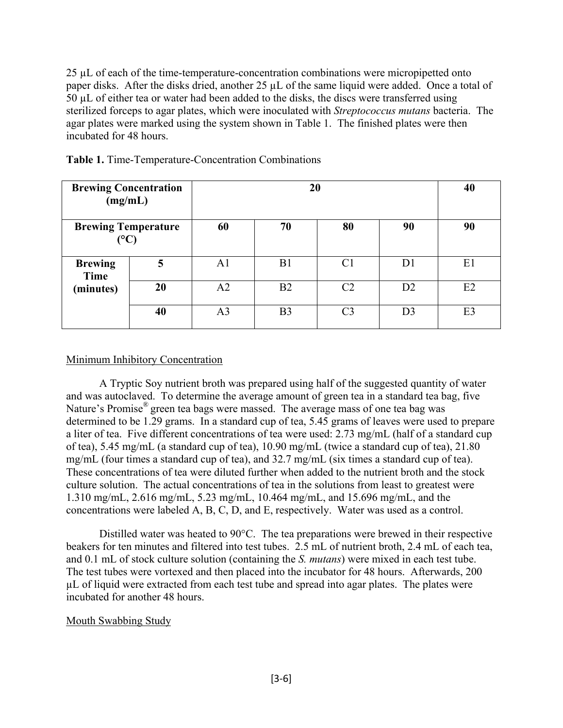25 µL of each of the time-temperature-concentration combinations were micropipetted onto paper disks. After the disks dried, another 25  $\mu$ L of the same liquid were added. Once a total of 50 µL of either tea or water had been added to the disks, the discs were transferred using sterilized forceps to agar plates, which were inoculated with *Streptococcus mutans* bacteria. The agar plates were marked using the system shown in Table 1. The finished plates were then incubated for 48 hours.

| <b>Brewing Concentration</b><br>(mg/mL)<br><b>Brewing Temperature</b><br>$({}^{\circ}{\rm C})$ |    |                | 40             |    |                |                |
|------------------------------------------------------------------------------------------------|----|----------------|----------------|----|----------------|----------------|
|                                                                                                |    | 60             | 70             | 80 | 90             | 90             |
| <b>Brewing</b><br>Time                                                                         | 5  | A <sub>1</sub> | B <sub>1</sub> | C1 | D1             | E1             |
| (minutes)                                                                                      | 20 | A2             | B <sub>2</sub> | C2 | D <sub>2</sub> | E2             |
|                                                                                                | 40 | A <sub>3</sub> | B <sub>3</sub> | C3 | D3             | E <sub>3</sub> |

|  |  | Table 1. Time-Temperature-Concentration Combinations |  |  |
|--|--|------------------------------------------------------|--|--|
|--|--|------------------------------------------------------|--|--|

## Minimum Inhibitory Concentration

 A Tryptic Soy nutrient broth was prepared using half of the suggested quantity of water and was autoclaved. To determine the average amount of green tea in a standard tea bag, five Nature's Promise® green tea bags were massed. The average mass of one tea bag was determined to be 1.29 grams. In a standard cup of tea, 5.45 grams of leaves were used to prepare a liter of tea. Five different concentrations of tea were used: 2.73 mg/mL (half of a standard cup of tea), 5.45 mg/mL (a standard cup of tea), 10.90 mg/mL (twice a standard cup of tea), 21.80 mg/mL (four times a standard cup of tea), and 32.7 mg/mL (six times a standard cup of tea). These concentrations of tea were diluted further when added to the nutrient broth and the stock culture solution. The actual concentrations of tea in the solutions from least to greatest were 1.310 mg/mL, 2.616 mg/mL, 5.23 mg/mL, 10.464 mg/mL, and 15.696 mg/mL, and the concentrations were labeled A, B, C, D, and E, respectively. Water was used as a control.

 Distilled water was heated to 90°C. The tea preparations were brewed in their respective beakers for ten minutes and filtered into test tubes. 2.5 mL of nutrient broth, 2.4 mL of each tea, and 0.1 mL of stock culture solution (containing the *S. mutans*) were mixed in each test tube. The test tubes were vortexed and then placed into the incubator for 48 hours. Afterwards, 200 µL of liquid were extracted from each test tube and spread into agar plates. The plates were incubated for another 48 hours.

## Mouth Swabbing Study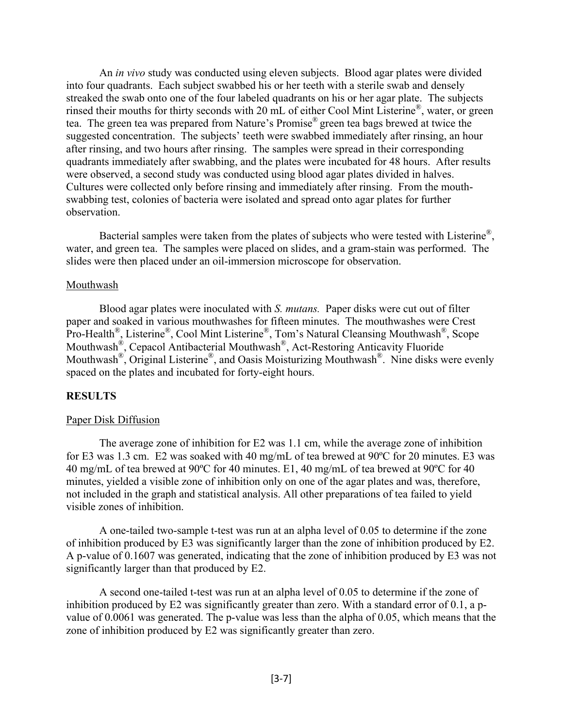An *in vivo* study was conducted using eleven subjects. Blood agar plates were divided into four quadrants. Each subject swabbed his or her teeth with a sterile swab and densely streaked the swab onto one of the four labeled quadrants on his or her agar plate. The subjects rinsed their mouths for thirty seconds with 20 mL of either Cool Mint Listerine®, water, or green tea. The green tea was prepared from Nature's Promise® green tea bags brewed at twice the suggested concentration. The subjects' teeth were swabbed immediately after rinsing, an hour after rinsing, and two hours after rinsing. The samples were spread in their corresponding quadrants immediately after swabbing, and the plates were incubated for 48 hours. After results were observed, a second study was conducted using blood agar plates divided in halves. Cultures were collected only before rinsing and immediately after rinsing. From the mouthswabbing test, colonies of bacteria were isolated and spread onto agar plates for further observation.

Bacterial samples were taken from the plates of subjects who were tested with Listerine<sup>®</sup>, water, and green tea. The samples were placed on slides, and a gram-stain was performed. The slides were then placed under an oil-immersion microscope for observation.

## Mouthwash

 Blood agar plates were inoculated with *S. mutans.* Paper disks were cut out of filter paper and soaked in various mouthwashes for fifteen minutes. The mouthwashes were Crest Pro-Health®, Listerine®, Cool Mint Listerine®, Tom's Natural Cleansing Mouthwash®, Scope Mouthwash®, Cepacol Antibacterial Mouthwash®, Act-Restoring Anticavity Fluoride Mouthwash®, Original Listerine®, and Oasis Moisturizing Mouthwash®. Nine disks were evenly spaced on the plates and incubated for forty-eight hours.

## **RESULTS**

#### Paper Disk Diffusion

The average zone of inhibition for E2 was 1.1 cm, while the average zone of inhibition for E3 was 1.3 cm. E2 was soaked with 40 mg/mL of tea brewed at 90ºC for 20 minutes. E3 was 40 mg/mL of tea brewed at 90ºC for 40 minutes. E1, 40 mg/mL of tea brewed at 90ºC for 40 minutes, yielded a visible zone of inhibition only on one of the agar plates and was, therefore, not included in the graph and statistical analysis. All other preparations of tea failed to yield visible zones of inhibition.

A one-tailed two-sample t-test was run at an alpha level of 0.05 to determine if the zone of inhibition produced by E3 was significantly larger than the zone of inhibition produced by E2. A p-value of 0.1607 was generated, indicating that the zone of inhibition produced by E3 was not significantly larger than that produced by E2.

A second one-tailed t-test was run at an alpha level of 0.05 to determine if the zone of inhibition produced by E2 was significantly greater than zero. With a standard error of 0.1, a pvalue of 0.0061 was generated. The p-value was less than the alpha of 0.05, which means that the zone of inhibition produced by E2 was significantly greater than zero.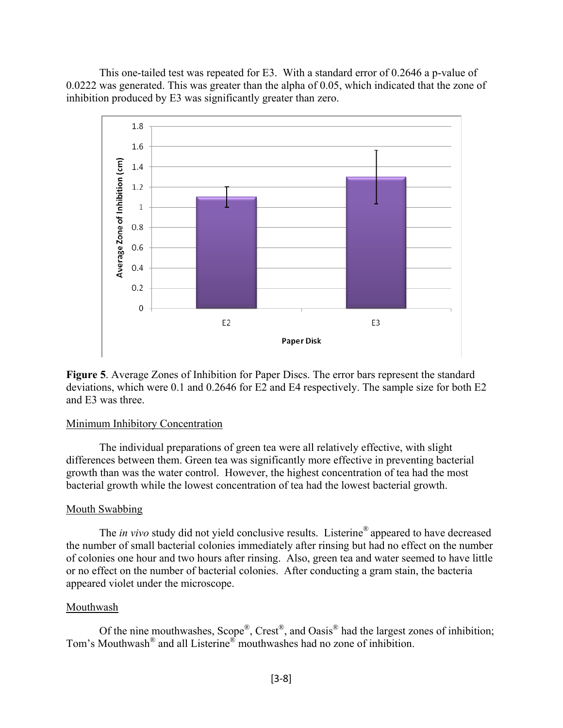This one-tailed test was repeated for E3. With a standard error of 0.2646 a p-value of 0.0222 was generated. This was greater than the alpha of 0.05, which indicated that the zone of inhibition produced by E3 was significantly greater than zero.



**Figure 5**. Average Zones of Inhibition for Paper Discs. The error bars represent the standard deviations, which were 0.1 and 0.2646 for E2 and E4 respectively. The sample size for both E2 and E3 was three.

#### Minimum Inhibitory Concentration

The individual preparations of green tea were all relatively effective, with slight differences between them. Green tea was significantly more effective in preventing bacterial growth than was the water control. However, the highest concentration of tea had the most bacterial growth while the lowest concentration of tea had the lowest bacterial growth.

## Mouth Swabbing

The *in vivo* study did not yield conclusive results. Listerine® appeared to have decreased the number of small bacterial colonies immediately after rinsing but had no effect on the number of colonies one hour and two hours after rinsing. Also, green tea and water seemed to have little or no effect on the number of bacterial colonies. After conducting a gram stain, the bacteria appeared violet under the microscope.

## Mouthwash

Of the nine mouthwashes, Scope®, Crest®, and Oasis® had the largest zones of inhibition; Tom's Mouthwash<sup>®</sup> and all Listerine<sup>®</sup> mouthwashes had no zone of inhibition.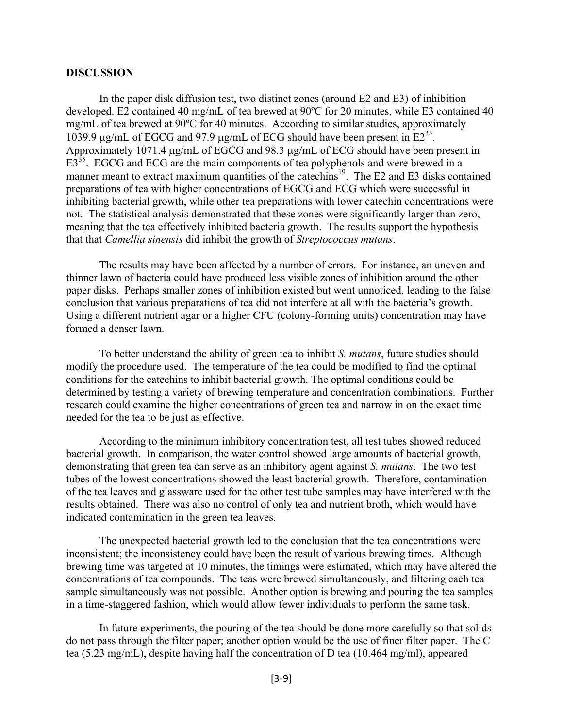#### **DISCUSSION**

In the paper disk diffusion test, two distinct zones (around E2 and E3) of inhibition developed. E2 contained 40 mg/mL of tea brewed at 90ºC for 20 minutes, while E3 contained 40 mg/mL of tea brewed at 90ºC for 40 minutes. According to similar studies, approximately 1039.9 μg/mL of EGCG and 97.9 μg/mL of ECG should have been present in  $E2^{35}$ . Approximately 1071.4 μg/mL of EGCG and 98.3 μg/mL of ECG should have been present in E3<sup>35</sup>. EGCG and ECG are the main components of tea polyphenols and were brewed in a manner meant to extract maximum quantities of the catechins<sup>19</sup>. The E2 and E3 disks contained preparations of tea with higher concentrations of EGCG and ECG which were successful in inhibiting bacterial growth, while other tea preparations with lower catechin concentrations were not. The statistical analysis demonstrated that these zones were significantly larger than zero, meaning that the tea effectively inhibited bacteria growth. The results support the hypothesis that that *Camellia sinensis* did inhibit the growth of *Streptococcus mutans*.

The results may have been affected by a number of errors. For instance, an uneven and thinner lawn of bacteria could have produced less visible zones of inhibition around the other paper disks. Perhaps smaller zones of inhibition existed but went unnoticed, leading to the false conclusion that various preparations of tea did not interfere at all with the bacteria's growth. Using a different nutrient agar or a higher CFU (colony-forming units) concentration may have formed a denser lawn.

To better understand the ability of green tea to inhibit *S. mutans*, future studies should modify the procedure used. The temperature of the tea could be modified to find the optimal conditions for the catechins to inhibit bacterial growth. The optimal conditions could be determined by testing a variety of brewing temperature and concentration combinations. Further research could examine the higher concentrations of green tea and narrow in on the exact time needed for the tea to be just as effective.

According to the minimum inhibitory concentration test, all test tubes showed reduced bacterial growth. In comparison, the water control showed large amounts of bacterial growth, demonstrating that green tea can serve as an inhibitory agent against *S. mutans*. The two test tubes of the lowest concentrations showed the least bacterial growth. Therefore, contamination of the tea leaves and glassware used for the other test tube samples may have interfered with the results obtained. There was also no control of only tea and nutrient broth, which would have indicated contamination in the green tea leaves.

The unexpected bacterial growth led to the conclusion that the tea concentrations were inconsistent; the inconsistency could have been the result of various brewing times. Although brewing time was targeted at 10 minutes, the timings were estimated, which may have altered the concentrations of tea compounds. The teas were brewed simultaneously, and filtering each tea sample simultaneously was not possible. Another option is brewing and pouring the tea samples in a time-staggered fashion, which would allow fewer individuals to perform the same task.

In future experiments, the pouring of the tea should be done more carefully so that solids do not pass through the filter paper; another option would be the use of finer filter paper. The C tea (5.23 mg/mL), despite having half the concentration of D tea (10.464 mg/ml), appeared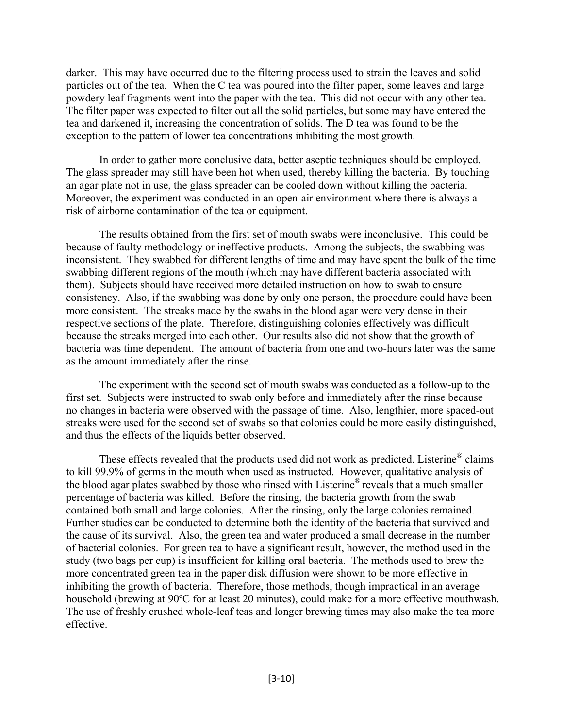darker. This may have occurred due to the filtering process used to strain the leaves and solid particles out of the tea. When the C tea was poured into the filter paper, some leaves and large powdery leaf fragments went into the paper with the tea. This did not occur with any other tea. The filter paper was expected to filter out all the solid particles, but some may have entered the tea and darkened it, increasing the concentration of solids. The D tea was found to be the exception to the pattern of lower tea concentrations inhibiting the most growth.

In order to gather more conclusive data, better aseptic techniques should be employed. The glass spreader may still have been hot when used, thereby killing the bacteria. By touching an agar plate not in use, the glass spreader can be cooled down without killing the bacteria. Moreover, the experiment was conducted in an open-air environment where there is always a risk of airborne contamination of the tea or equipment.

The results obtained from the first set of mouth swabs were inconclusive. This could be because of faulty methodology or ineffective products. Among the subjects, the swabbing was inconsistent. They swabbed for different lengths of time and may have spent the bulk of the time swabbing different regions of the mouth (which may have different bacteria associated with them). Subjects should have received more detailed instruction on how to swab to ensure consistency. Also, if the swabbing was done by only one person, the procedure could have been more consistent. The streaks made by the swabs in the blood agar were very dense in their respective sections of the plate. Therefore, distinguishing colonies effectively was difficult because the streaks merged into each other. Our results also did not show that the growth of bacteria was time dependent. The amount of bacteria from one and two-hours later was the same as the amount immediately after the rinse.

The experiment with the second set of mouth swabs was conducted as a follow-up to the first set. Subjects were instructed to swab only before and immediately after the rinse because no changes in bacteria were observed with the passage of time. Also, lengthier, more spaced-out streaks were used for the second set of swabs so that colonies could be more easily distinguished, and thus the effects of the liquids better observed.

These effects revealed that the products used did not work as predicted. Listerine<sup>®</sup> claims to kill 99.9% of germs in the mouth when used as instructed. However, qualitative analysis of the blood agar plates swabbed by those who rinsed with Listerine® reveals that a much smaller percentage of bacteria was killed. Before the rinsing, the bacteria growth from the swab contained both small and large colonies. After the rinsing, only the large colonies remained. Further studies can be conducted to determine both the identity of the bacteria that survived and the cause of its survival. Also, the green tea and water produced a small decrease in the number of bacterial colonies. For green tea to have a significant result, however, the method used in the study (two bags per cup) is insufficient for killing oral bacteria. The methods used to brew the more concentrated green tea in the paper disk diffusion were shown to be more effective in inhibiting the growth of bacteria. Therefore, those methods, though impractical in an average household (brewing at 90ºC for at least 20 minutes), could make for a more effective mouthwash. The use of freshly crushed whole-leaf teas and longer brewing times may also make the tea more effective.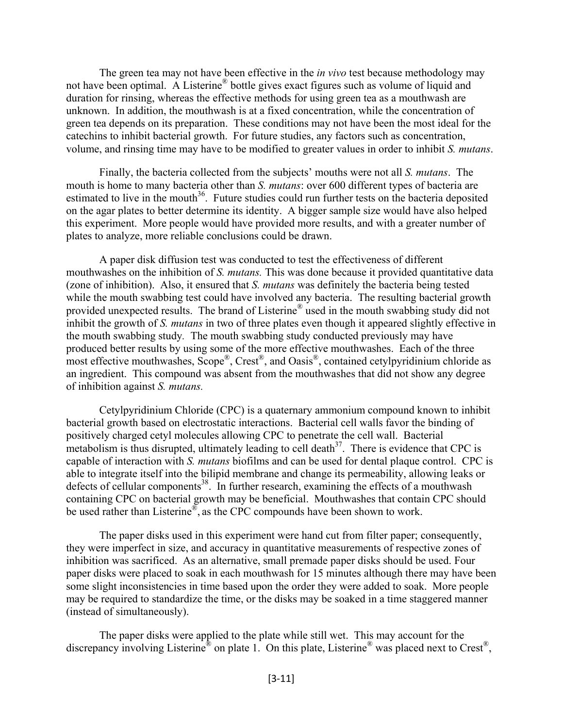The green tea may not have been effective in the *in vivo* test because methodology may not have been optimal. A Listerine® bottle gives exact figures such as volume of liquid and duration for rinsing, whereas the effective methods for using green tea as a mouthwash are unknown. In addition, the mouthwash is at a fixed concentration, while the concentration of green tea depends on its preparation. These conditions may not have been the most ideal for the catechins to inhibit bacterial growth. For future studies, any factors such as concentration, volume, and rinsing time may have to be modified to greater values in order to inhibit *S. mutans*.

Finally, the bacteria collected from the subjects' mouths were not all *S. mutans*. The mouth is home to many bacteria other than *S. mutans*: over 600 different types of bacteria are estimated to live in the mouth<sup>36</sup>. Future studies could run further tests on the bacteria deposited on the agar plates to better determine its identity. A bigger sample size would have also helped this experiment. More people would have provided more results, and with a greater number of plates to analyze, more reliable conclusions could be drawn.

A paper disk diffusion test was conducted to test the effectiveness of different mouthwashes on the inhibition of *S. mutans.* This was done because it provided quantitative data (zone of inhibition). Also, it ensured that *S. mutans* was definitely the bacteria being tested while the mouth swabbing test could have involved any bacteria. The resulting bacterial growth provided unexpected results. The brand of Listerine® used in the mouth swabbing study did not inhibit the growth of *S. mutans* in two of three plates even though it appeared slightly effective in the mouth swabbing study*.* The mouth swabbing study conducted previously may have produced better results by using some of the more effective mouthwashes. Each of the three most effective mouthwashes,  $\text{Scope}^{\circledR}$ ,  $\text{Crest}^{\circledR}$ , and  $\text{Oasis}^{\circledR}$ , contained cetylpyridinium chloride as an ingredient. This compound was absent from the mouthwashes that did not show any degree of inhibition against *S. mutans.*

Cetylpyridinium Chloride (CPC) is a quaternary ammonium compound known to inhibit bacterial growth based on electrostatic interactions. Bacterial cell walls favor the binding of positively charged cetyl molecules allowing CPC to penetrate the cell wall. Bacterial metabolism is thus disrupted, ultimately leading to cell death<sup>37</sup>. There is evidence that CPC is capable of interaction with *S. mutans* biofilms and can be used for dental plaque control. CPC is able to integrate itself into the bilipid membrane and change its permeability, allowing leaks or defects of cellular components<sup>38</sup>. In further research, examining the effects of a mouthwash containing CPC on bacterial growth may be beneficial. Mouthwashes that contain CPC should be used rather than Listerine<sup>®</sup>, as the CPC compounds have been shown to work.

The paper disks used in this experiment were hand cut from filter paper; consequently, they were imperfect in size, and accuracy in quantitative measurements of respective zones of inhibition was sacrificed. As an alternative, small premade paper disks should be used. Four paper disks were placed to soak in each mouthwash for 15 minutes although there may have been some slight inconsistencies in time based upon the order they were added to soak. More people may be required to standardize the time, or the disks may be soaked in a time staggered manner (instead of simultaneously).

 The paper disks were applied to the plate while still wet. This may account for the discrepancy involving Listerine<sup>®</sup> on plate 1. On this plate, Listerine<sup>®</sup> was placed next to Crest<sup>®</sup>,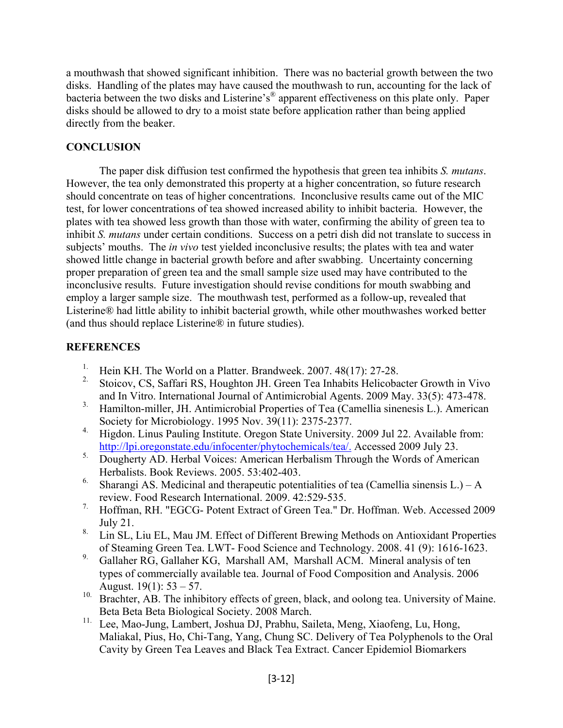a mouthwash that showed significant inhibition. There was no bacterial growth between the two disks. Handling of the plates may have caused the mouthwash to run, accounting for the lack of bacteria between the two disks and Listerine's® apparent effectiveness on this plate only. Paper disks should be allowed to dry to a moist state before application rather than being applied directly from the beaker.

## **CONCLUSION**

 The paper disk diffusion test confirmed the hypothesis that green tea inhibits *S. mutans*. However, the tea only demonstrated this property at a higher concentration, so future research should concentrate on teas of higher concentrations. Inconclusive results came out of the MIC test, for lower concentrations of tea showed increased ability to inhibit bacteria. However, the plates with tea showed less growth than those with water, confirming the ability of green tea to inhibit *S. mutans* under certain conditions. Success on a petri dish did not translate to success in subjects' mouths. The *in vivo* test yielded inconclusive results; the plates with tea and water showed little change in bacterial growth before and after swabbing. Uncertainty concerning proper preparation of green tea and the small sample size used may have contributed to the inconclusive results. Future investigation should revise conditions for mouth swabbing and employ a larger sample size. The mouthwash test, performed as a follow-up, revealed that Listerine® had little ability to inhibit bacterial growth, while other mouthwashes worked better (and thus should replace Listerine® in future studies).

# **REFERENCES**

- <sup>1.</sup> Hein KH. The World on a Platter. Brandweek. 2007.  $48(17)$ : 27-28.
- 2. Stoicov, CS, Saffari RS, Houghton JH. Green Tea Inhabits Helicobacter Growth in Vivo and In Vitro. International Journal of Antimicrobial Agents. 2009 May. 33(5): 473-478.
- <sup>3.</sup> Hamilton-miller, JH. Antimicrobial Properties of Tea (Camellia sinenesis L.). American Society for Microbiology. 1995 Nov. 39(11): 2375-2377.
- 4. Higdon. Linus Pauling Institute. Oregon State University. 2009 Jul 22. Available from: <http://lpi.oregonstate.edu/infocenter/phytochemicals/tea/>. Accessed 2009 July 23.
- <sup>5.</sup> Dougherty AD. Herbal Voices: American Herbalism Through the Words of American Herbalists. Book Reviews. 2005. 53:402-403.
- <sup>6.</sup> Sharangi AS. Medicinal and therapeutic potentialities of tea (Camellia sinensis L.) A review. Food Research International. 2009. 42:529-535.
- 7. Hoffman, RH. "EGCG- Potent Extract of Green Tea." Dr. Hoffman. Web. Accessed 2009 July 21.
- <sup>8.</sup> Lin SL, Liu EL, Mau JM. Effect of Different Brewing Methods on Antioxidant Properties of Steaming Green Tea. LWT- Food Science and Technology. 2008. 41 (9): 1616-1623.
- 9. Gallaher RG, Gallaher KG, Marshall AM, Marshall ACM. Mineral analysis of ten types of commercially available tea. Journal of Food Composition and Analysis. 2006 August.  $19(1)$ :  $53 - 57$ .
- <sup>10.</sup> Brachter, AB. The inhibitory effects of green, black, and oolong tea. University of Maine. Beta Beta Beta Biological Society. 2008 March.
- 11. Lee, Mao-Jung, Lambert, Joshua DJ, Prabhu, Saileta, Meng, Xiaofeng, Lu, Hong, Maliakal, Pius, Ho, Chi-Tang, Yang, Chung SC. Delivery of Tea Polyphenols to the Oral Cavity by Green Tea Leaves and Black Tea Extract. Cancer Epidemiol Biomarkers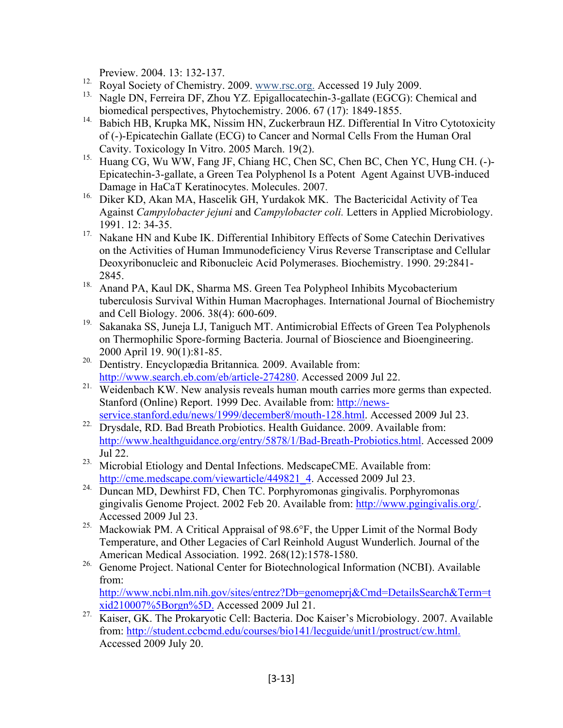Preview. 2004. 13: 132-137.

- <sup>12.</sup> Royal Society of Chemistry. 2009. www.rsc.org. Accessed 19 July 2009.
- <sup>13.</sup> Nagle DN, Ferreira DF, Zhou YZ. Epigallocatechin-3-gallate (EGCG): Chemical and biomedical perspectives, Phytochemistry. 2006. 67 (17): 1849-1855.
- <sup>14.</sup> Babich HB, Krupka MK, Nissim HN, Zuckerbraun HZ. Differential In Vitro Cytotoxicity of (-)-Epicatechin Gallate (ECG) to Cancer and Normal Cells From the Human Oral Cavity. Toxicology In Vitro. 2005 March. 19(2).
- 15. Huang CG, Wu WW, Fang JF, Chiang HC, Chen SC, Chen BC, Chen YC, Hung CH. (-)- Epicatechin-3-gallate, a Green Tea Polyphenol Is a Potent Agent Against UVB-induced Damage in HaCaT Keratinocytes. Molecules. 2007.
- 16. Diker KD, Akan MA, Hascelik GH, Yurdakok MK. The Bactericidal Activity of Tea Against *Campylobacter jejuni* and *Campylobacter coli.* Letters in Applied Microbiology. 1991. 12: 34-35.
- <sup>17.</sup> Nakane HN and Kube IK. Differential Inhibitory Effects of Some Catechin Derivatives on the Activities of Human Immunodeficiency Virus Reverse Transcriptase and Cellular Deoxyribonucleic and Ribonucleic Acid Polymerases. Biochemistry. 1990. 29:2841- 2845.
- <sup>18.</sup> Anand PA, Kaul DK, Sharma MS. Green Tea Polypheol Inhibits Mycobacterium tuberculosis Survival Within Human Macrophages. International Journal of Biochemistry and Cell Biology. 2006. 38(4): 600-609.
- <sup>19.</sup> Sakanaka SS, Juneja LJ, Taniguch MT. Antimicrobial Effects of Green Tea Polyphenols on Thermophilic Spore-forming Bacteria. Journal of Bioscience and Bioengineering. 2000 April 19. 90(1):81-85.
- 20. Dentistry. Encyclopædia Britannica*.* 2009. Available from: [http://www.search.eb.com/eb/article-274280](http://www.search.eb.com.ezproxy.drew.edu/eb/article-274280). Accessed 2009 Jul 22.
- <sup>21.</sup> Weidenbach KW. New analysis reveals human mouth carries more germs than expected. Stanford (Online) Report. 1999 Dec. Available from: [http://news](http://news-service.stanford.edu/news/1999/december8/mouth-128.html)[service.stanford.edu/news/1999/december8/mouth-128.html.](http://news-service.stanford.edu/news/1999/december8/mouth-128.html) Accessed 2009 Jul 23.
- <sup>22.</sup> Drysdale, RD. Bad Breath Probiotics. Health Guidance. 2009. Available from: <http://www.healthguidance.org/entry/5878/1/Bad-Breath-Probiotics.html>. Accessed 2009 Jul 22.
- <sup>23.</sup> Microbial Etiology and Dental Infections. MedscapeCME. Available from: [http://cme.medscape.com/viewarticle/449821\\_4.](http://cme.medscape.com/viewarticle/449821_4) Accessed 2009 Jul 23.
- <sup>24.</sup> Duncan MD, Dewhirst FD, Chen TC. Porphyromonas gingivalis. Porphyromonas gingivalis Genome Project. 2002 Feb 20. Available from: [http://www.pgingivalis.org/.](http://www.pgingivalis.org/) Accessed 2009 Jul 23.
- 25. Mackowiak PM. A Critical Appraisal of 98.6°F, the Upper Limit of the Normal Body Temperature, and Other Legacies of Carl Reinhold August Wunderlich. Journal of the American Medical Association. 1992. 268(12):1578-1580.
- <sup>26.</sup> Genome Project. National Center for Biotechnological Information (NCBI). Available from:

[http://www.ncbi.nlm.nih.gov/sites/entrez?Db=genomeprj&Cmd=DetailsSearch&Term=t](http://www.ncbi.nlm.nih.gov/sites/entrez?Db=genomeprj&Cmd=DetailsSearch&Term=txid210007%5Borgn%5D) [xid210007%5Borgn%5D.](http://www.ncbi.nlm.nih.gov/sites/entrez?Db=genomeprj&Cmd=DetailsSearch&Term=txid210007%5Borgn%5D) Accessed 2009 Jul 21.

27. Kaiser, GK. The Prokaryotic Cell: Bacteria. Doc Kaiser's Microbiology. 2007. Available from: [http://student.ccbcmd.edu/courses/bio141/lecguide/unit1/prostruct/cw.html.](http://student.ccbcmd.edu/courses/bio141/lecguide/unit1/prostruct/cw.html) Accessed 2009 July 20.